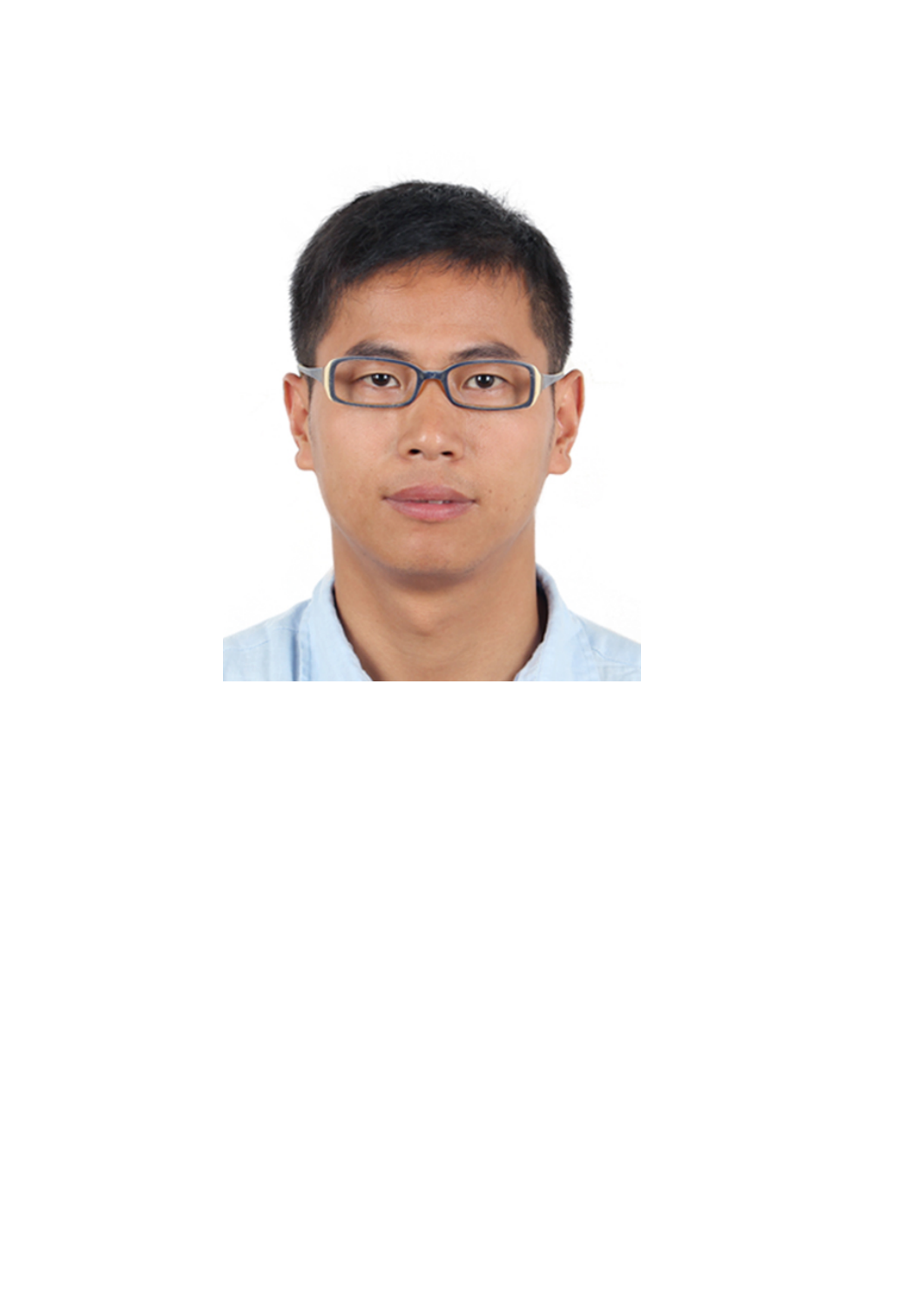